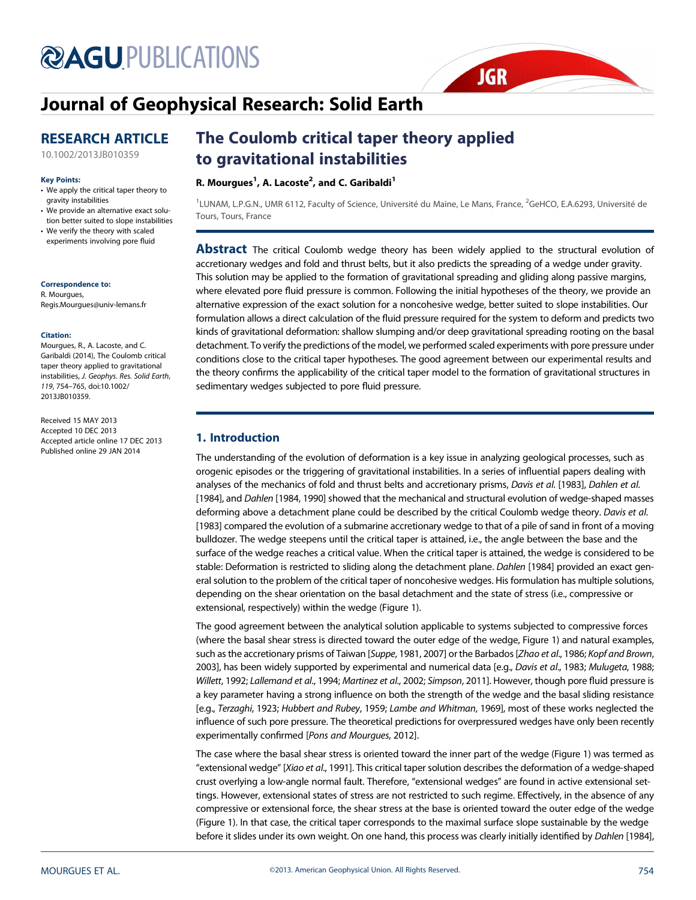# **@AGU[PUBLICATIONS](http://publications.agu.org/journals/)**

## [Journal of Geophysical Research: Solid Earth](http://onlinelibrary.wiley.com/journal/10.1002/(ISSN)2169-9356)

### RESEARCH ARTICLE

[10.1002/2013JB010359](http://dx.doi.org/10.1002/2013JB010359)

#### Key Points:

- We apply the critical taper theory to gravity instabilities
- We provide an alternative exact solution better suited to slope instabilities
- We verify the theory with scaled experiments involving pore fluid

#### Correspondence to:

R. Mourgues, Regis.Mourgues@univ-lemans.fr

#### Citation:

Mourgues, R., A. Lacoste, and C. Garibaldi (2014), The Coulomb critical taper theory applied to gravitational instabilities, J. Geophys. Res. Solid Earth, 119, 754–765, doi:10.1002/ 2013JB010359.

Received 15 MAY 2013 Accepted 10 DEC 2013 Accepted article online 17 DEC 2013 Published online 29 JAN 2014

## The Coulomb critical taper theory applied to gravitational instabilities

#### R. Mourgues $^1$ , A. Lacoste $^2$ , and C. Garibaldi $^1$

<sup>1</sup>LUNAM, L.P.G.N., UMR 6112, Faculty of Science, Université du Maine, Le Mans, France, <sup>2</sup>GeHCO, E.A.6293, Université de Tours, Tours, France

**JGR** 

**Abstract** The critical Coulomb wedge theory has been widely applied to the structural evolution of accretionary wedges and fold and thrust belts, but it also predicts the spreading of a wedge under gravity. This solution may be applied to the formation of gravitational spreading and gliding along passive margins, where elevated pore fluid pressure is common. Following the initial hypotheses of the theory, we provide an alternative expression of the exact solution for a noncohesive wedge, better suited to slope instabilities. Our formulation allows a direct calculation of the fluid pressure required for the system to deform and predicts two kinds of gravitational deformation: shallow slumping and/or deep gravitational spreading rooting on the basal detachment. To verify the predictions of the model, we performed scaled experiments with pore pressure under conditions close to the critical taper hypotheses. The good agreement between our experimental results and the theory confirms the applicability of the critical taper model to the formation of gravitational structures in sedimentary wedges subjected to pore fluid pressure.

#### 1. Introduction

The understanding of the evolution of deformation is a key issue in analyzing geological processes, such as orogenic episodes or the triggering of gravitational instabilities. In a series of influential papers dealing with analyses of the mechanics of fold and thrust belts and accretionary prisms, Davis et al. [1983], Dahlen et al. [1984], and Dahlen [1984, 1990] showed that the mechanical and structural evolution of wedge-shaped masses deforming above a detachment plane could be described by the critical Coulomb wedge theory. Davis et al. [1983] compared the evolution of a submarine accretionary wedge to that of a pile of sand in front of a moving bulldozer. The wedge steepens until the critical taper is attained, i.e., the angle between the base and the surface of the wedge reaches a critical value. When the critical taper is attained, the wedge is considered to be stable: Deformation is restricted to sliding along the detachment plane. Dahlen [1984] provided an exact general solution to the problem of the critical taper of noncohesive wedges. His formulation has multiple solutions, depending on the shear orientation on the basal detachment and the state of stress (i.e., compressive or extensional, respectively) within the wedge (Figure 1).

The good agreement between the analytical solution applicable to systems subjected to compressive forces (where the basal shear stress is directed toward the outer edge of the wedge, Figure 1) and natural examples, such as the accretionary prisms of Taiwan [Suppe, 1981, 2007] or the Barbados [Zhao et al., 1986; Kopf and Brown, 2003], has been widely supported by experimental and numerical data [e.g., Davis et al., 1983; Mulugeta, 1988; Willett, 1992; Lallemand et al., 1994; Martinez et al., 2002; Simpson, 2011]. However, though pore fluid pressure is a key parameter having a strong influence on both the strength of the wedge and the basal sliding resistance [e.g., Terzaghi, 1923; Hubbert and Rubey, 1959; Lambe and Whitman, 1969], most of these works neglected the influence of such pore pressure. The theoretical predictions for overpressured wedges have only been recently experimentally confirmed [Pons and Mourgues, 2012].

The case where the basal shear stress is oriented toward the inner part of the wedge (Figure 1) was termed as "extensional wedge" [Xiao et al., 1991]. This critical taper solution describes the deformation of a wedge-shaped crust overlying a low-angle normal fault. Therefore, "extensional wedges" are found in active extensional settings. However, extensional states of stress are not restricted to such regime. Effectively, in the absence of any compressive or extensional force, the shear stress at the base is oriented toward the outer edge of the wedge (Figure 1). In that case, the critical taper corresponds to the maximal surface slope sustainable by the wedge before it slides under its own weight. On one hand, this process was clearly initially identified by Dahlen [1984],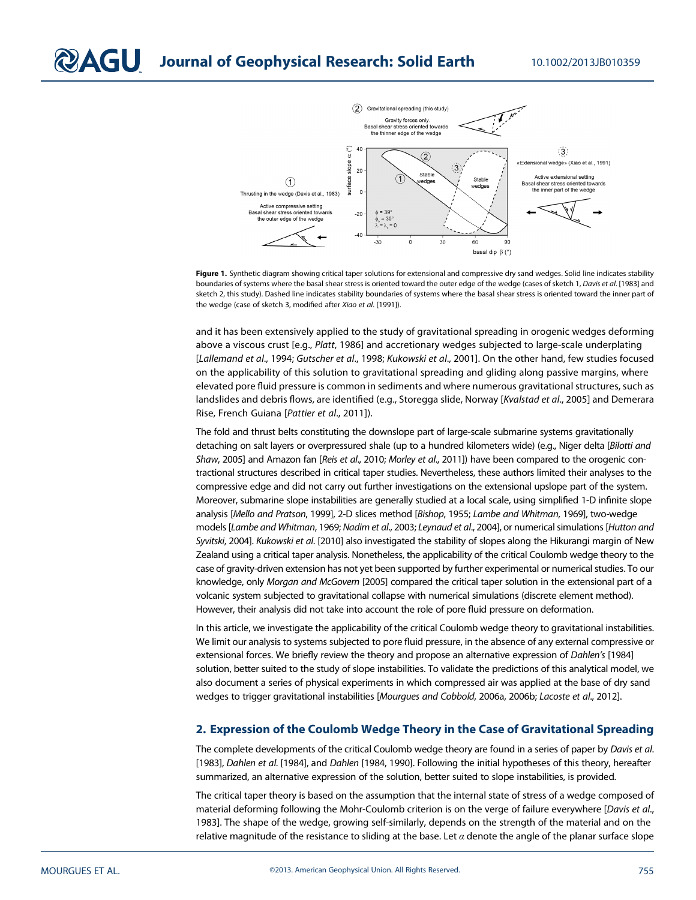

Figure 1. Synthetic diagram showing critical taper solutions for extensional and compressive dry sand wedges. Solid line indicates stability boundaries of systems where the basal shear stress is oriented toward the outer edge of the wedge (cases of sketch 1, Davis et al. [1983] and sketch 2, this study). Dashed line indicates stability boundaries of systems where the basal shear stress is oriented toward the inner part of the wedge (case of sketch 3, modified after Xiao et al. [1991]).

and it has been extensively applied to the study of gravitational spreading in orogenic wedges deforming above a viscous crust [e.g., Platt, 1986] and accretionary wedges subjected to large-scale underplating [Lallemand et al., 1994; Gutscher et al., 1998; Kukowski et al., 2001]. On the other hand, few studies focused on the applicability of this solution to gravitational spreading and gliding along passive margins, where elevated pore fluid pressure is common in sediments and where numerous gravitational structures, such as landslides and debris flows, are identified (e.g., Storegga slide, Norway [Kvalstad et al., 2005] and Demerara Rise, French Guiana [Pattier et al., 2011]).

The fold and thrust belts constituting the downslope part of large-scale submarine systems gravitationally detaching on salt layers or overpressured shale (up to a hundred kilometers wide) (e.g., Niger delta [Bilotti and Shaw, 2005] and Amazon fan [Reis et al., 2010; Morley et al., 2011]) have been compared to the orogenic contractional structures described in critical taper studies. Nevertheless, these authors limited their analyses to the compressive edge and did not carry out further investigations on the extensional upslope part of the system. Moreover, submarine slope instabilities are generally studied at a local scale, using simplified 1-D infinite slope analysis [Mello and Pratson, 1999], 2-D slices method [Bishop, 1955; Lambe and Whitman, 1969], two-wedge models [Lambe and Whitman, 1969; Nadim et al., 2003; Leynaud et al., 2004], or numerical simulations [Hutton and Syvitski, 2004]. Kukowski et al. [2010] also investigated the stability of slopes along the Hikurangi margin of New Zealand using a critical taper analysis. Nonetheless, the applicability of the critical Coulomb wedge theory to the case of gravity-driven extension has not yet been supported by further experimental or numerical studies. To our knowledge, only Morgan and McGovern [2005] compared the critical taper solution in the extensional part of a volcanic system subjected to gravitational collapse with numerical simulations (discrete element method). However, their analysis did not take into account the role of pore fluid pressure on deformation.

In this article, we investigate the applicability of the critical Coulomb wedge theory to gravitational instabilities. We limit our analysis to systems subjected to pore fluid pressure, in the absence of any external compressive or extensional forces. We briefly review the theory and propose an alternative expression of Dahlen's [1984] solution, better suited to the study of slope instabilities. To validate the predictions of this analytical model, we also document a series of physical experiments in which compressed air was applied at the base of dry sand wedges to trigger gravitational instabilities [Mourgues and Cobbold, 2006a, 2006b; Lacoste et al., 2012].

#### 2. Expression of the Coulomb Wedge Theory in the Case of Gravitational Spreading

The complete developments of the critical Coulomb wedge theory are found in a series of paper by Davis et al. [1983], Dahlen et al. [1984], and Dahlen [1984, 1990]. Following the initial hypotheses of this theory, hereafter summarized, an alternative expression of the solution, better suited to slope instabilities, is provided.

The critical taper theory is based on the assumption that the internal state of stress of a wedge composed of material deforming following the Mohr-Coulomb criterion is on the verge of failure everywhere [Davis et al., 1983]. The shape of the wedge, growing self-similarly, depends on the strength of the material and on the relative magnitude of the resistance to sliding at the base. Let  $\alpha$  denote the angle of the planar surface slope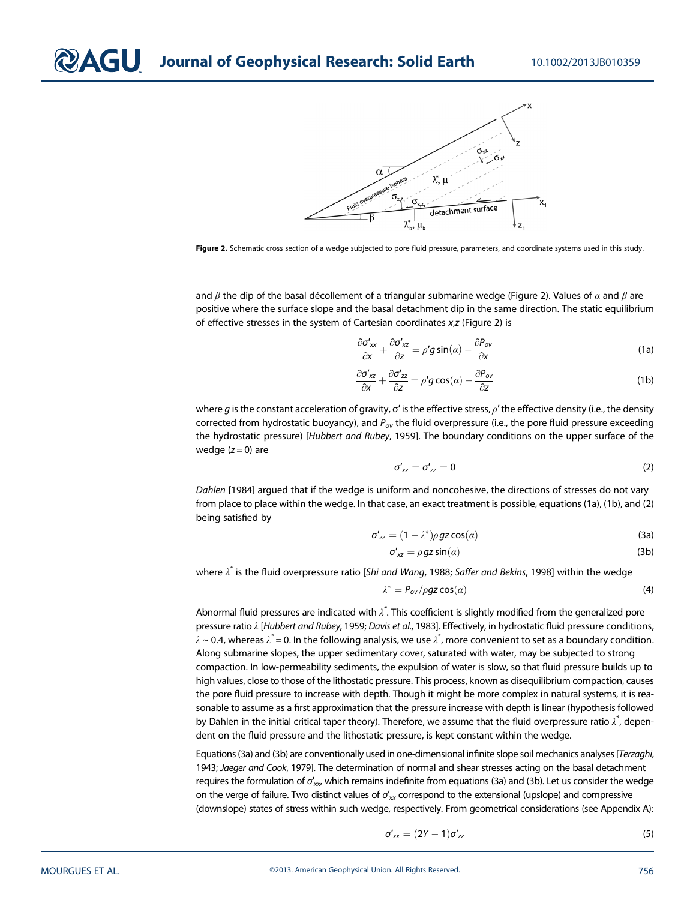

Figure 2. Schematic cross section of a wedge subjected to pore fluid pressure, parameters, and coordinate systems used in this study.

and  $\beta$  the dip of the basal décollement of a triangular submarine wedge (Figure 2). Values of  $\alpha$  and  $\beta$  are positive where the surface slope and the basal detachment dip in the same direction. The static equilibrium of effective stresses in the system of Cartesian coordinates x,z (Figure 2) is

$$
\frac{\partial \sigma'_{xx}}{\partial x} + \frac{\partial \sigma'_{xz}}{\partial z} = \rho' g \sin(\alpha) - \frac{\partial P_{ov}}{\partial x}
$$
 (1a)

$$
\frac{\partial \sigma'_{xz}}{\partial x} + \frac{\partial \sigma'_{zz}}{\partial z} = \rho' g \cos(\alpha) - \frac{\partial P_{ov}}{\partial z}
$$
 (1b)

where g is the constant acceleration of gravity,  $\sigma'$  is the effective stress,  $\rho'$  the effective density (i.e., the density corrected from hydrostatic buoyancy), and  $P_{ov}$  the fluid overpressure (i.e., the pore fluid pressure exceeding the hydrostatic pressure) [Hubbert and Rubey, 1959]. The boundary conditions on the upper surface of the wedge  $(z=0)$  are

$$
\sigma'_{xz} = \sigma'_{zz} = 0 \tag{2}
$$

Dahlen [1984] argued that if the wedge is uniform and noncohesive, the directions of stresses do not vary from place to place within the wedge. In that case, an exact treatment is possible, equations (1a), (1b), and (2) being satisfied by

$$
\sigma'_{zz} = (1 - \lambda^*) \rho \, gz \cos(\alpha) \tag{3a}
$$

$$
\sigma'_{xz} = \rho gz \sin(\alpha) \tag{3b}
$$

where  $\lambda^*$  is the fluid overpressure ratio [S*hi and Wang,* 1988; Saffer and Bekins, 1998] within the wedge

$$
\lambda^* = P_{ov} / \rho gz \cos(\alpha) \tag{4}
$$

Abnormal fluid pressures are indicated with  $\lambda^*$ . This coefficient is slightly modified from the generalized pore pressure ratio λ [Hubbert and Rubey, 1959; Davis et al., 1983]. Effectively, in hydrostatic fluid pressure conditions,  $\lambda$  ~ 0.4, whereas  $\lambda^*=$  0. In the following analysis, we use  $\lambda^*$ , more convenient to set as a boundary condition. Along submarine slopes, the upper sedimentary cover, saturated with water, may be subjected to strong compaction. In low-permeability sediments, the expulsion of water is slow, so that fluid pressure builds up to high values, close to those of the lithostatic pressure. This process, known as disequilibrium compaction, causes the pore fluid pressure to increase with depth. Though it might be more complex in natural systems, it is reasonable to assume as a first approximation that the pressure increase with depth is linear (hypothesis followed by Dahlen in the initial critical taper theory). Therefore, we assume that the fluid overpressure ratio  $\lambda^*$ , dependent on the fluid pressure and the lithostatic pressure, is kept constant within the wedge.

Equations (3a) and (3b) are conventionally used in one-dimensional infinite slope soil mechanics analyses [Terzaghi, 1943; Jaeger and Cook, 1979]. The determination of normal and shear stresses acting on the basal detachment requires the formulation of  $\sigma'_{xx}$ , which remains indefinite from equations (3a) and (3b). Let us consider the wedge on the verge of failure. Two distinct values of  $\sigma'_{\text{\tiny{XX}}}$  correspond to the extensional (upslope) and compressive (downslope) states of stress within such wedge, respectively. From geometrical considerations (see Appendix A):

$$
\sigma'_{xx} = (2Y - 1)\sigma'_{zz} \tag{5}
$$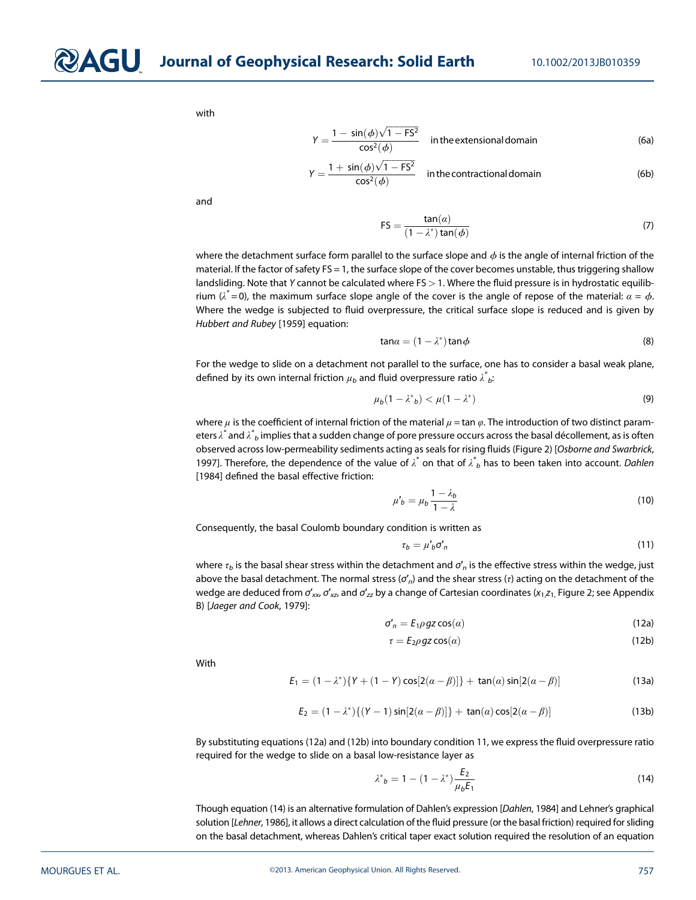with

$$
Y = \frac{1 - \sin(\phi)\sqrt{1 - FS^2}}{\cos^2(\phi)}
$$
 in the extensional domain (6a)

$$
Y = \frac{1 + \sin(\phi)\sqrt{1 - FS^2}}{\cos^2(\phi)}
$$
 in the contradictional domain (6b)

and

$$
FS = \frac{\tan(\alpha)}{(1 - \lambda^*)\tan(\phi)}\tag{7}
$$

where the detachment surface form parallel to the surface slope and  $\phi$  is the angle of internal friction of the material. If the factor of safety FS = 1, the surface slope of the cover becomes unstable, thus triggering shallow landsliding. Note that Y cannot be calculated where  $FS > 1$ . Where the fluid pressure is in hydrostatic equilibrium ( $\lambda^*=$  0), the maximum surface slope angle of the cover is the angle of repose of the material:  $\alpha=\phi.$ Where the wedge is subjected to fluid overpressure, the critical surface slope is reduced and is given by Hubbert and Rubey [1959] equation:

$$
\tan \alpha = (1 - \lambda^*) \tan \phi \tag{8}
$$

For the wedge to slide on a detachment not parallel to the surface, one has to consider a basal weak plane, defined by its own internal friction  $\mu_b$  and fluid overpressure ratio  $\lambda^*_{\phantom * b}$ :

$$
\mu_b(1 - \lambda^*)_b < \mu(1 - \lambda^*) \tag{9}
$$

where  $\mu$  is the coefficient of internal friction of the material  $\mu$  = tan  $\varphi$ . The introduction of two distinct parameters  $\lambda^*$  and  $\lambda^*_{~b}$  implies that a sudden change of pore pressure occurs across the basal décollement, as is often observed across low-permeability sediments acting as seals for rising fluids (Figure 2) [Osborne and Swarbrick, 1997]. Therefore, the dependence of the value of  $\lambda^*$  on that of  $\lambda^*$  has to been taken into account. Dahlen [1984] defined the basal effective friction:

$$
\mu'_{b} = \mu_{b} \frac{1 - \lambda_{b}}{1 - \lambda} \tag{10}
$$

Consequently, the basal Coulomb boundary condition is written as

$$
\tau_b = \mu'_b \sigma'_n \tag{11}
$$

where  $\tau_b$  is the basal shear stress within the detachment and  $\sigma'_n$  is the effective stress within the wedge, just above the basal detachment. The normal stress ( $\sigma'_n$ ) and the shear stress ( $\tau$ ) acting on the detachment of the wedge are deduced from  $\sigma'_{xx}$ ,  $\sigma'_{xz}$ , and  $\sigma'_{zz}$  by a change of Cartesian coordinates ( $x_1z_1$ , Figure 2; see Appendix B) [Jaeger and Cook, 1979]:

$$
\sigma'_n = E_1 \rho g z \cos(\alpha) \tag{12a}
$$

$$
\tau = E_2 \rho \, gz \cos(\alpha) \tag{12b}
$$

With

$$
E_1 = (1 - \lambda^*) \{ Y + (1 - Y) \cos[2(\alpha - \beta)] \} + \tan(\alpha) \sin[2(\alpha - \beta)]
$$
 (13a)

$$
E_2 = (1 - \lambda^*)\{(Y - 1)\sin[2(\alpha - \beta)]\} + \tan(\alpha)\cos[2(\alpha - \beta)]
$$
 (13b)

By substituting equations (12a) and (12b) into boundary condition 11, we express the fluid overpressure ratio required for the wedge to slide on a basal low-resistance layer as

$$
\lambda^*_{b} = 1 - (1 - \lambda^*) \frac{E_2}{\mu_b E_1}
$$
 (14)

Though equation (14) is an alternative formulation of Dahlen's expression [Dahlen, 1984] and Lehner's graphical solution [Lehner, 1986], it allows a direct calculation of the fluid pressure (or the basal friction) required for sliding on the basal detachment, whereas Dahlen's critical taper exact solution required the resolution of an equation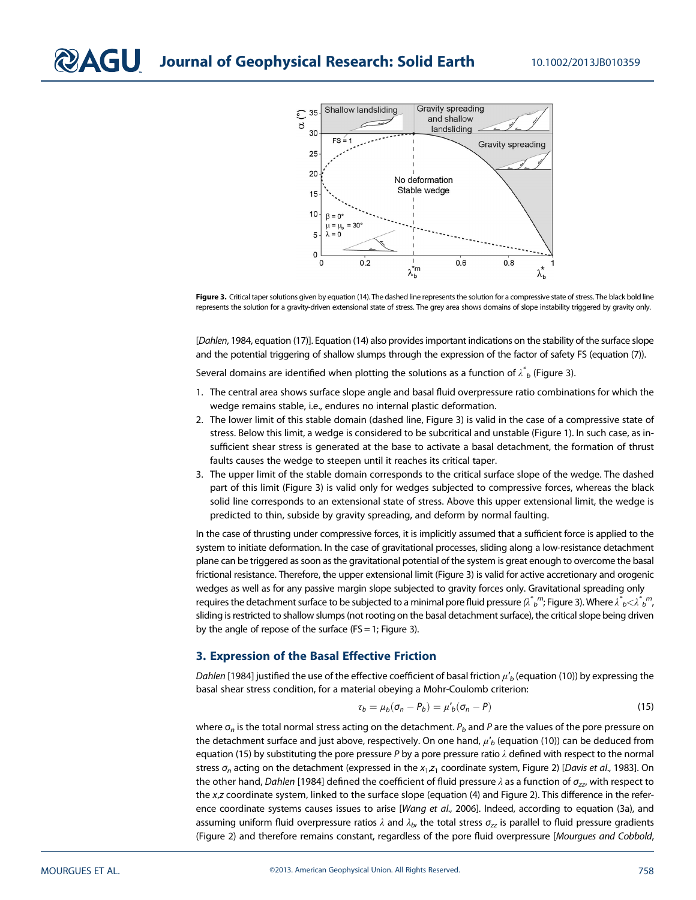



[Dahlen, 1984, equation (17)]. Equation (14) also provides important indications on the stability of the surface slope and the potential triggering of shallow slumps through the expression of the factor of safety FS (equation (7)).

Several domains are identified when plotting the solutions as a function of  $\mathcal{\breve{A}}_b$  (Figure 3).

- 1. The central area shows surface slope angle and basal fluid overpressure ratio combinations for which the wedge remains stable, i.e., endures no internal plastic deformation.
- 2. The lower limit of this stable domain (dashed line, Figure 3) is valid in the case of a compressive state of stress. Below this limit, a wedge is considered to be subcritical and unstable (Figure 1). In such case, as insufficient shear stress is generated at the base to activate a basal detachment, the formation of thrust faults causes the wedge to steepen until it reaches its critical taper.
- 3. The upper limit of the stable domain corresponds to the critical surface slope of the wedge. The dashed part of this limit (Figure 3) is valid only for wedges subjected to compressive forces, whereas the black solid line corresponds to an extensional state of stress. Above this upper extensional limit, the wedge is predicted to thin, subside by gravity spreading, and deform by normal faulting.

In the case of thrusting under compressive forces, it is implicitly assumed that a sufficient force is applied to the system to initiate deformation. In the case of gravitational processes, sliding along a low-resistance detachment plane can be triggered as soon as the gravitational potential of the system is great enough to overcome the basal frictional resistance. Therefore, the upper extensional limit (Figure 3) is valid for active accretionary and orogenic wedges as well as for any passive margin slope subjected to gravity forces only. Gravitational spreading only requires the detachment surface to be subjected to a minimal pore fluid pressure ( $\lambda^*_{~b}$ )"; Figure 3). Where  $\lambda^*_{~b}$ < $\lambda^*_{~b}$ ", sliding is restricted to shallow slumps (not rooting on the basal detachment surface), the critical slope being driven by the angle of repose of the surface ( $FS = 1$ ; Figure 3).

#### 3. Expression of the Basal Effective Friction

Dahlen [1984] justified the use of the effective coefficient of basal friction  $\mu'_b$  (equation (10)) by expressing the basal shear stress condition, for a material obeying a Mohr-Coulomb criterion:

$$
\tau_b = \mu_b(\sigma_n - P_b) = \mu'_b(\sigma_n - P) \tag{15}
$$

where  $\sigma_n$  is the total normal stress acting on the detachment.  $P_b$  and P are the values of the pore pressure on the detachment surface and just above, respectively. On one hand,  $\mu'_{b}$  (equation (10)) can be deduced from equation (15) by substituting the pore pressure P by a pore pressure ratio  $\lambda$  defined with respect to the normal stress  $\sigma_n$  acting on the detachment (expressed in the  $x_1$ , $z_1$  coordinate system, Figure 2) [Davis et al., 1983]. On the other hand, Dahlen [1984] defined the coefficient of fluid pressure  $\lambda$  as a function of  $\sigma_{zz}$ , with respect to the x,z coordinate system, linked to the surface slope (equation (4) and Figure 2). This difference in the reference coordinate systems causes issues to arise [Wang et al., 2006]. Indeed, according to equation (3a), and assuming uniform fluid overpressure ratios  $\lambda$  and  $\lambda_b$ , the total stress  $\sigma_{zz}$  is parallel to fluid pressure gradients (Figure 2) and therefore remains constant, regardless of the pore fluid overpressure [Mourgues and Cobbold,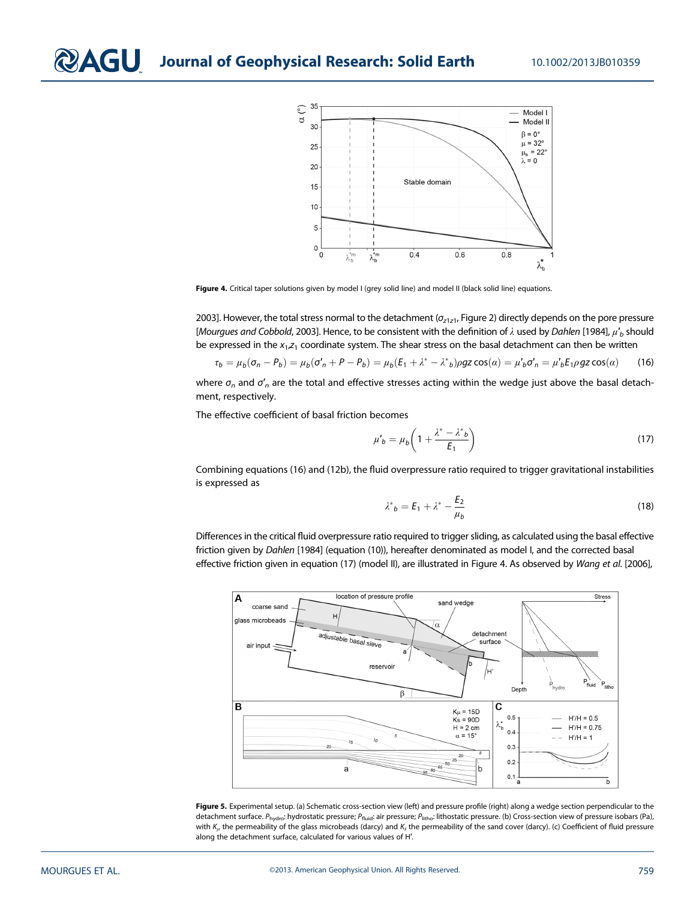

Figure 4. Critical taper solutions given by model I (grey solid line) and model II (black solid line) equations.

2003]. However, the total stress normal to the detachment ( $\sigma_{z1z1}$ , Figure 2) directly depends on the pore pressure [Mourgues and Cobbold, 2003]. Hence, to be consistent with the definition of  $\lambda$  used by Dahlen [1984],  $\mu'_{b}$  should be expressed in the  $x_1,z_1$  coordinate system. The shear stress on the basal detachment can then be written

$$
\tau_b = \mu_b(\sigma_n - P_b) = \mu_b(\sigma'_n + P - P_b) = \mu_b(E_1 + \lambda^* - \lambda^* b) \rho g z \cos(\alpha) = \mu'_b \sigma'_n = \mu'_b E_1 \rho g z \cos(\alpha) \tag{16}
$$

where  $\sigma_n$  and  $\sigma'_n$  are the total and effective stresses acting within the wedge just above the basal detachment, respectively.

The effective coefficient of basal friction becomes

$$
\mu'_{b} = \mu_{b} \left( 1 + \frac{\lambda^* - \lambda^*_{b}}{E_1} \right) \tag{17}
$$

Combining equations (16) and (12b), the fluid overpressure ratio required to trigger gravitational instabilities is expressed as

$$
\lambda^*_{b} = E_1 + \lambda^* - \frac{E_2}{\mu_b} \tag{18}
$$

Differences in the critical fluid overpressure ratio required to trigger sliding, as calculated using the basal effective friction given by Dahlen [1984] (equation (10)), hereafter denominated as model I, and the corrected basal effective friction given in equation (17) (model II), are illustrated in Figure 4. As observed by Wang et al. [2006],



Figure 5. Experimental setup. (a) Schematic cross-section view (left) and pressure profile (right) along a wedge section perpendicular to the detachment surface. P<sub>hydro</sub>: hydrostatic pressure; P<sub>fluid</sub>: air pressure; P<sub>litho</sub>: lithostatic pressure. (b) Cross-section view of pressure isobars (Pa), with  $K_u$  the permeability of the glass microbeads (darcy) and  $K_s$  the permeability of the sand cover (darcy). (c) Coefficient of fluid pressure along the detachment surface, calculated for various values of H′.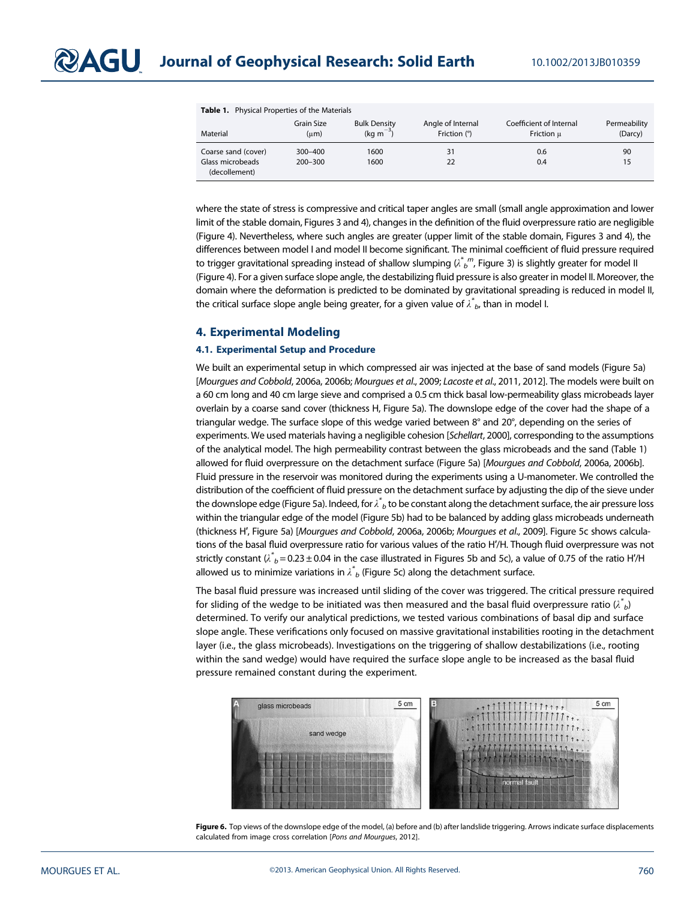| <b>Table 1.</b> Physical Properties of the Materials |                     |                                   |                                   |                                       |                         |
|------------------------------------------------------|---------------------|-----------------------------------|-----------------------------------|---------------------------------------|-------------------------|
| Material                                             | Grain Size<br>(num) | <b>Bulk Density</b><br>$(ka m-3)$ | Angle of Internal<br>Friction (°) | Coefficient of Internal<br>Friction u | Permeability<br>(Darcy) |
| Coarse sand (cover)                                  | $300 - 400$         | 1600                              | 31                                | 0.6                                   | 90                      |
| Glass microbeads<br>(decollement)                    | $200 - 300$         | 1600                              | 22                                | 0.4                                   | 15                      |

where the state of stress is compressive and critical taper angles are small (small angle approximation and lower limit of the stable domain, Figures 3 and 4), changes in the definition of the fluid overpressure ratio are negligible (Figure 4). Nevertheless, where such angles are greater (upper limit of the stable domain, Figures 3 and 4), the differences between model I and model II become significant. The minimal coefficient of fluid pressure required to trigger gravitational spreading instead of shallow slumping ( $\lambda^*{}_{b}{}^{m}$ , Figure 3) is slightly greater for model II (Figure 4). For a given surface slope angle, the destabilizing fluid pressure is also greater in model II. Moreover, the domain where the deformation is predicted to be dominated by gravitational spreading is reduced in model II, the critical surface slope angle being greater, for a given value of  $\lambda^*_{\phantom * b}$ , than in model I.

#### 4. Experimental Modeling

#### 4.1. Experimental Setup and Procedure

We built an experimental setup in which compressed air was injected at the base of sand models (Figure 5a) [Mourgues and Cobbold, 2006a, 2006b; Mourgues et al., 2009; Lacoste et al., 2011, 2012]. The models were built on a 60 cm long and 40 cm large sieve and comprised a 0.5 cm thick basal low-permeability glass microbeads layer overlain by a coarse sand cover (thickness H, Figure 5a). The downslope edge of the cover had the shape of a triangular wedge. The surface slope of this wedge varied between 8° and 20°, depending on the series of experiments. We used materials having a negligible cohesion [Schellart, 2000], corresponding to the assumptions of the analytical model. The high permeability contrast between the glass microbeads and the sand (Table 1) allowed for fluid overpressure on the detachment surface (Figure 5a) [Mourgues and Cobbold, 2006a, 2006b]. Fluid pressure in the reservoir was monitored during the experiments using a U-manometer. We controlled the distribution of the coefficient of fluid pressure on the detachment surface by adjusting the dip of the sieve under the downslope edge (Figure 5a). Indeed, for  $\lambda^*_{\;\;b}$  to be constant along the detachment surface, the air pressure loss within the triangular edge of the model (Figure 5b) had to be balanced by adding glass microbeads underneath (thickness H′, Figure 5a) [Mourgues and Cobbold, 2006a, 2006b; Mourgues et al., 2009]. Figure 5c shows calculations of the basal fluid overpressure ratio for various values of the ratio H′/H. Though fluid overpressure was not strictly constant ( $\lambda^*_{\ b}$  = 0.23 ± 0.04 in the case illustrated in Figures 5b and 5c), a value of 0.75 of the ratio H'/H allowed us to minimize variations in  $\curlywedge^*_{b}$  (Figure 5c) along the detachment surface.

The basal fluid pressure was increased until sliding of the cover was triggered. The critical pressure required for sliding of the wedge to be initiated was then measured and the basal fluid overpressure ratio ( $\lambda^*_{\;\;b}$ ) determined. To verify our analytical predictions, we tested various combinations of basal dip and surface slope angle. These verifications only focused on massive gravitational instabilities rooting in the detachment layer (i.e., the glass microbeads). Investigations on the triggering of shallow destabilizations (i.e., rooting within the sand wedge) would have required the surface slope angle to be increased as the basal fluid pressure remained constant during the experiment.



Figure 6. Top views of the downslope edge of the model, (a) before and (b) after landslide triggering. Arrows indicate surface displacements calculated from image cross correlation [Pons and Mourgues, 2012].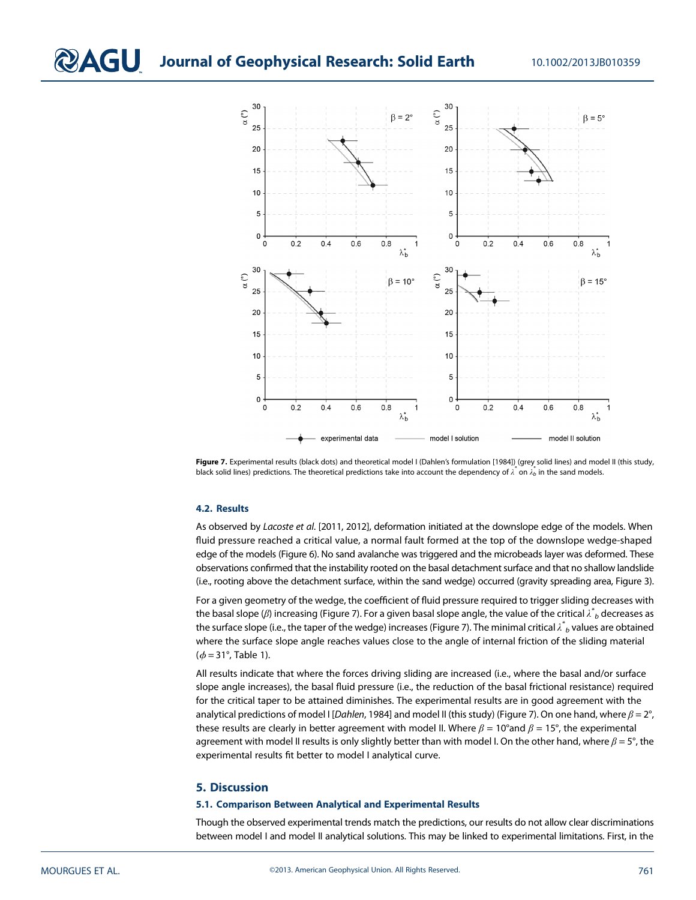## **QAGU** Journal of Geophysical Research: Solid Earth 10.1002/2013JB010359



Figure 7. Experimental results (black dots) and theoretical model I (Dahlen's formulation [1984]) (grey solid lines) and model II (this study, black solid lines) predictions. The theoretical predictions take into account the dependency of  $\lambda^*$  on  $\lambda^*$  in the sand models.

#### 4.2. Results

As observed by Lacoste et al. [2011, 2012], deformation initiated at the downslope edge of the models. When fluid pressure reached a critical value, a normal fault formed at the top of the downslope wedge-shaped edge of the models (Figure 6). No sand avalanche was triggered and the microbeads layer was deformed. These observations confirmed that the instability rooted on the basal detachment surface and that no shallow landslide (i.e., rooting above the detachment surface, within the sand wedge) occurred (gravity spreading area, Figure 3).

For a given geometry of the wedge, the coefficient of fluid pressure required to trigger sliding decreases with the basal slope ( $\beta$ ) increasing (Figure 7). For a given basal slope angle, the value of the critical  $\lambda^*{}_b$  decreases as the surface slope (i.e., the taper of the wedge) increases (Figure 7). The minimal critical  $\lambda^*{}_b$  values are obtained where the surface slope angle reaches values close to the angle of internal friction of the sliding material  $(*φ* = 31°, Table 1).$ 

All results indicate that where the forces driving sliding are increased (i.e., where the basal and/or surface slope angle increases), the basal fluid pressure (i.e., the reduction of the basal frictional resistance) required for the critical taper to be attained diminishes. The experimental results are in good agreement with the analytical predictions of model I [Dahlen, 1984] and model II (this study) (Figure 7). On one hand, where  $\beta = 2^{\circ}$ , these results are clearly in better agreement with model II. Where  $\beta = 10^{\circ}$  and  $\beta = 15^{\circ}$ , the experimental agreement with model II results is only slightly better than with model I. On the other hand, where  $\beta = 5^\circ$ , the experimental results fit better to model I analytical curve.

#### 5. Discussion

#### 5.1. Comparison Between Analytical and Experimental Results

Though the observed experimental trends match the predictions, our results do not allow clear discriminations between model I and model II analytical solutions. This may be linked to experimental limitations. First, in the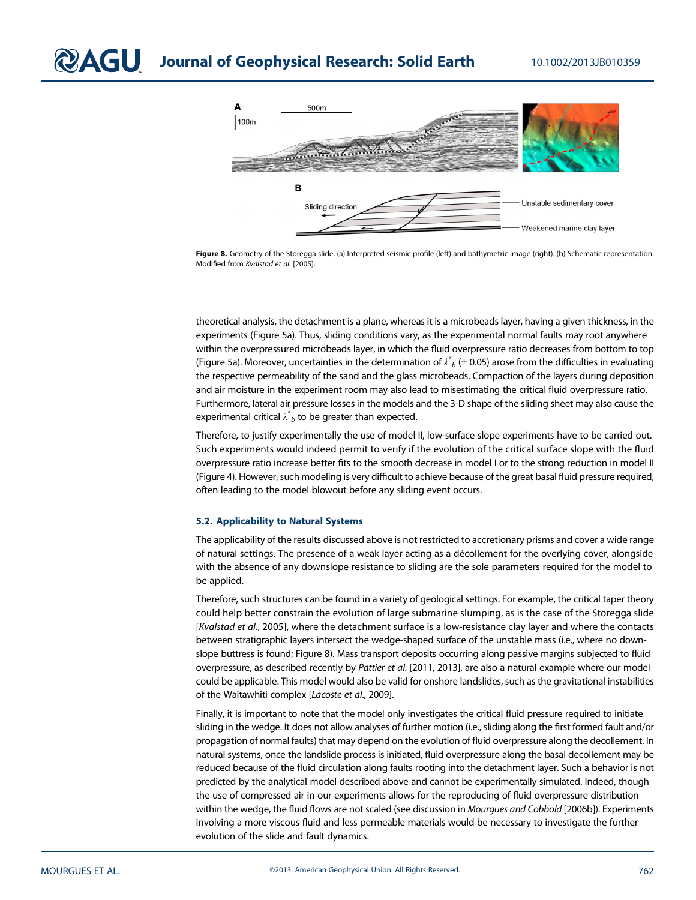

Figure 8. Geometry of the Storegga slide. (a) Interpreted seismic profile (left) and bathymetric image (right). (b) Schematic representation. Modified from Kvalstad et al. [2005].

theoretical analysis, the detachment is a plane, whereas it is a microbeads layer, having a given thickness, in the experiments (Figure 5a). Thus, sliding conditions vary, as the experimental normal faults may root anywhere within the overpressured microbeads layer, in which the fluid overpressure ratio decreases from bottom to top (Figure 5a). Moreover, uncertainties in the determination of  $\lambda^{*}_{~b}$  (± 0.05) arose from the difficulties in evaluating the respective permeability of the sand and the glass microbeads. Compaction of the layers during deposition and air moisture in the experiment room may also lead to misestimating the critical fluid overpressure ratio. Furthermore, lateral air pressure losses in the models and the 3-D shape of the sliding sheet may also cause the experimental critical  $\lambda^*{}_b$  to be greater than expected.

Therefore, to justify experimentally the use of model II, low-surface slope experiments have to be carried out. Such experiments would indeed permit to verify if the evolution of the critical surface slope with the fluid overpressure ratio increase better fits to the smooth decrease in model I or to the strong reduction in model II (Figure 4). However, such modeling is very difficult to achieve because of the great basal fluid pressure required, often leading to the model blowout before any sliding event occurs.

#### 5.2. Applicability to Natural Systems

The applicability of the results discussed above is not restricted to accretionary prisms and cover a wide range of natural settings. The presence of a weak layer acting as a décollement for the overlying cover, alongside with the absence of any downslope resistance to sliding are the sole parameters required for the model to be applied.

Therefore, such structures can be found in a variety of geological settings. For example, the critical taper theory could help better constrain the evolution of large submarine slumping, as is the case of the Storegga slide [Kvalstad et al., 2005], where the detachment surface is a low-resistance clay layer and where the contacts between stratigraphic layers intersect the wedge-shaped surface of the unstable mass (i.e., where no downslope buttress is found; Figure 8). Mass transport deposits occurring along passive margins subjected to fluid overpressure, as described recently by Pattier et al. [2011, 2013], are also a natural example where our model could be applicable. This model would also be valid for onshore landslides, such as the gravitational instabilities of the Waitawhiti complex [Lacoste et al., 2009].

Finally, it is important to note that the model only investigates the critical fluid pressure required to initiate sliding in the wedge. It does not allow analyses of further motion (i.e., sliding along the first formed fault and/or propagation of normal faults) that may depend on the evolution of fluid overpressure along the decollement. In natural systems, once the landslide process is initiated, fluid overpressure along the basal decollement may be reduced because of the fluid circulation along faults rooting into the detachment layer. Such a behavior is not predicted by the analytical model described above and cannot be experimentally simulated. Indeed, though the use of compressed air in our experiments allows for the reproducing of fluid overpressure distribution within the wedge, the fluid flows are not scaled (see discussion in Mourgues and Cobbold [2006b]). Experiments involving a more viscous fluid and less permeable materials would be necessary to investigate the further evolution of the slide and fault dynamics.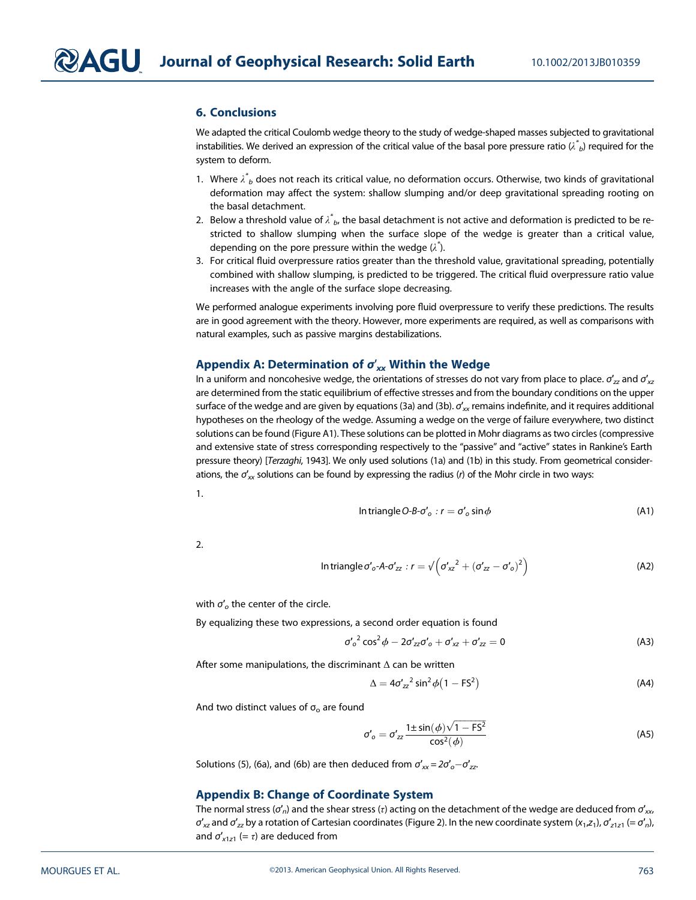#### 6. Conclusions

We adapted the critical Coulomb wedge theory to the study of wedge-shaped masses subjected to gravitational instabilities. We derived an expression of the critical value of the basal pore pressure ratio ( $\lambda^*_{\;\;b}$ ) required for the system to deform.

- 1. Where  $\lambda^*_{~b}$  does not reach its critical value, no deformation occurs. Otherwise, two kinds of gravitational deformation may affect the system: shallow slumping and/or deep gravitational spreading rooting on the basal detachment.
- 2. Below a threshold value of  $\lambda^*_{\phantom* b}$ , the basal detachment is not active and deformation is predicted to be restricted to shallow slumping when the surface slope of the wedge is greater than a critical value, depending on the pore pressure within the wedge  $(\lambda^*)$ .
- 3. For critical fluid overpressure ratios greater than the threshold value, gravitational spreading, potentially combined with shallow slumping, is predicted to be triggered. The critical fluid overpressure ratio value increases with the angle of the surface slope decreasing.

We performed analogue experiments involving pore fluid overpressure to verify these predictions. The results are in good agreement with the theory. However, more experiments are required, as well as comparisons with natural examples, such as passive margins destabilizations.

#### Appendix A: Determination of  $\sigma'_{xx}$  Within the Wedge

In a uniform and noncohesive wedge, the orientations of stresses do not vary from place to place.  $\sigma'_{zz}$  and  $\sigma'_{xz}$ are determined from the static equilibrium of effective stresses and from the boundary conditions on the upper surface of the wedge and are given by equations (3a) and (3b).  $\sigma'_{xx}$  remains indefinite, and it requires additional hypotheses on the rheology of the wedge. Assuming a wedge on the verge of failure everywhere, two distinct solutions can be found (Figure A1). These solutions can be plotted in Mohr diagrams as two circles (compressive and extensive state of stress corresponding respectively to the "passive" and "active" states in Rankine's Earth pressure theory) [Terzaghi, 1943]. We only used solutions (1a) and (1b) in this study. From geometrical considerations, the  $\sigma'_{\textsf{xx}}$  solutions can be found by expressing the radius (*r*) of the Mohr circle in two ways:

In triangle O-B-
$$
\sigma'_{o}
$$
:  $r = \sigma'_{o} \sin \phi$  (A1)

2.

1.

In triangle 
$$
\sigma'_o
$$
- $A$ - $\sigma'_{zz}$ :  $r = \sqrt{(\sigma'_{xz}^2 + (\sigma'_{zz} - \sigma'_{o})^2)}$  (A2)

with  $\sigma'_{o}$  the center of the circle.

By equalizing these two expressions, a second order equation is found

 ${\sigma'}_o^2 \cos^2 \phi - 2{\sigma'}_{zz} {\sigma'}_o + {\sigma'}_{xz} + {\sigma'}_{zz} = 0$  (A3)

After some manipulations, the discriminant  $\Delta$  can be written

$$
\Delta = 4\sigma'_{zz}^2 \sin^2 \phi \left(1 - \mathsf{F}\mathsf{S}^2\right) \tag{A4}
$$

And two distinct values of  $\sigma_{\rm o}$  are found

$$
\sigma'_{o} = \sigma'_{zz} \frac{1 \pm \sin(\phi) \sqrt{1 - FS^{2}}}{\cos^{2}(\phi)}
$$
 (A5)

Solutions (5), (6a), and (6b) are then deduced from  $\sigma'_{xx} = 2\sigma'_{o} - \sigma'_{zz}$ 

#### Appendix B: Change of Coordinate System

The normal stress ( $\sigma'_n$ ) and the shear stress (τ) acting on the detachment of the wedge are deduced from  $\sigma'_{xx}$  $\sigma'_{xz}$  and  $\sigma'_{zz}$  by a rotation of Cartesian coordinates (Figure 2). In the new coordinate system (x<sub>1</sub>,z<sub>1</sub>),  $\sigma'_{z1z1}$  (=  $\sigma'_{n}$ ), and  $\sigma'_{x1z1}$  (=  $\tau$ ) are deduced from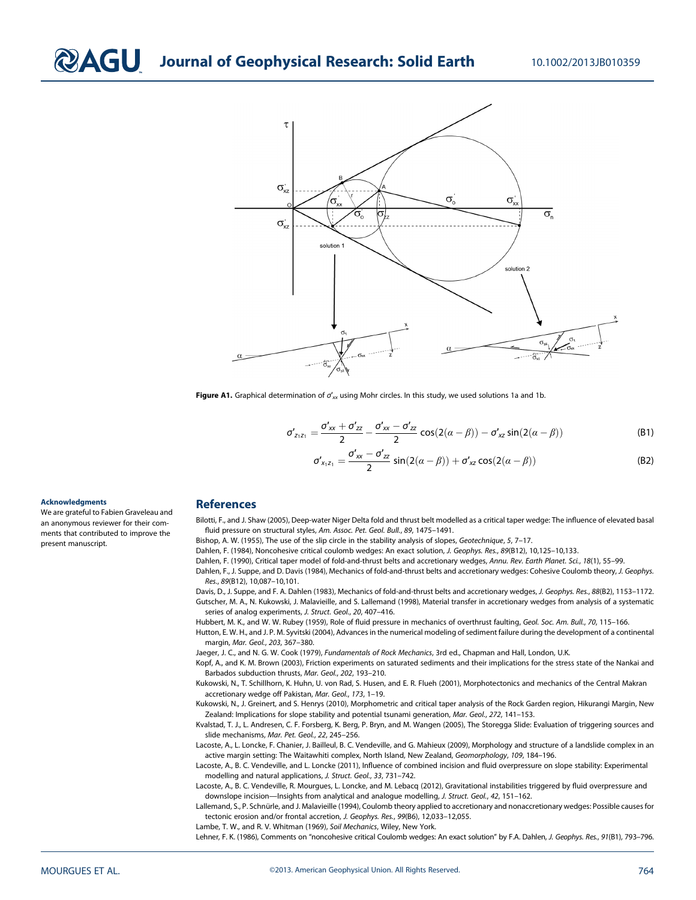

Figure A1. Graphical determination of  $\sigma'_{xx}$  using Mohr circles. In this study, we used solutions 1a and 1b.

$$
\sigma'_{z_1 z_1} = \frac{\sigma'_{xx} + \sigma'_{zz}}{2} - \frac{\sigma'_{xx} - \sigma'_{zz}}{2} \cos(2(\alpha - \beta)) - \sigma'_{xz} \sin(2(\alpha - \beta))
$$
(B1)

$$
\sigma'_{x_1z_1} = \frac{\sigma'_{xx} - \sigma'_{zz}}{2} \sin(2(\alpha - \beta)) + \sigma'_{xz} \cos(2(\alpha - \beta))
$$
 (B2)

#### Acknowledgments

We are grateful to Fabien Graveleau and an anonymous reviewer for their comments that contributed to improve the present manuscript.

#### References

Bilotti, F., and J. Shaw (2005), Deep-water Niger Delta fold and thrust belt modelled as a critical taper wedge: The influence of elevated basal fluid pressure on structural styles, Am. Assoc. Pet. Geol. Bull., 89, 1475–1491.

Bishop, A. W. (1955), The use of the slip circle in the stability analysis of slopes, Geotechnique, 5, 7–17.

Dahlen, F. (1984), Noncohesive critical coulomb wedges: An exact solution, J. Geophys. Res., 89(B12), 10,125–10,133.

Dahlen, F. (1990), Critical taper model of fold-and-thrust belts and accretionary wedges, Annu. Rev. Earth Planet. Sci., 18(1), 55–99.

Dahlen, F., J. Suppe, and D. Davis (1984), Mechanics of fold-and-thrust belts and accretionary wedges: Cohesive Coulomb theory, J. Geophys. Res., 89(B12), 10,087–10,101.

Davis, D., J. Suppe, and F. A. Dahlen (1983), Mechanics of fold-and-thrust belts and accretionary wedges, J. Geophys. Res., 88(B2), 1153–1172. Gutscher, M. A., N. Kukowski, J. Malavieille, and S. Lallemand (1998), Material transfer in accretionary wedges from analysis of a systematic series of analog experiments, J. Struct. Geol., 20, 407–416.

Hubbert, M. K., and W. W. Rubey (1959), Role of fluid pressure in mechanics of overthrust faulting, Geol. Soc. Am. Bull., 70, 115–166. Hutton, E. W. H., and J. P. M. Syvitski (2004), Advances in the numerical modeling of sediment failure during the development of a continental

margin, Mar. Geol., 203, 367–380.

Jaeger, J. C., and N. G. W. Cook (1979), Fundamentals of Rock Mechanics, 3rd ed., Chapman and Hall, London, U.K.

Kopf, A., and K. M. Brown (2003), Friction experiments on saturated sediments and their implications for the stress state of the Nankai and Barbados subduction thrusts, Mar. Geol., 202, 193–210.

Kukowski, N., T. Schillhorn, K. Huhn, U. von Rad, S. Husen, and E. R. Flueh (2001), Morphotectonics and mechanics of the Central Makran accretionary wedge off Pakistan, Mar. Geol., 173, 1–19.

Kukowski, N., J. Greinert, and S. Henrys (2010), Morphometric and critical taper analysis of the Rock Garden region, Hikurangi Margin, New Zealand: Implications for slope stability and potential tsunami generation, Mar. Geol., 272, 141-153.

Kvalstad, T. J., L. Andresen, C. F. Forsberg, K. Berg, P. Bryn, and M. Wangen (2005), The Storegga Slide: Evaluation of triggering sources and slide mechanisms, Mar. Pet. Geol., 22, 245–256.

Lacoste, A., L. Loncke, F. Chanier, J. Bailleul, B. C. Vendeville, and G. Mahieux (2009), Morphology and structure of a landslide complex in an active margin setting: The Waitawhiti complex, North Island, New Zealand, Geomorphology, 109, 184-196.

Lacoste, A., B. C. Vendeville, and L. Loncke (2011), Influence of combined incision and fluid overpressure on slope stability: Experimental modelling and natural applications, J. Struct. Geol., 33, 731–742.

Lacoste, A., B. C. Vendeville, R. Mourgues, L. Loncke, and M. Lebacq (2012), Gravitational instabilities triggered by fluid overpressure and downslope incision—Insights from analytical and analogue modelling, J. Struct. Geol., 42, 151-162.

Lallemand, S., P. Schnürle, and J. Malavieille (1994), Coulomb theory applied to accretionary and nonaccretionary wedges: Possible causes for tectonic erosion and/or frontal accretion, J. Geophys. Res., 99(B6), 12,033–12,055.

Lambe, T. W., and R. V. Whitman (1969), Soil Mechanics, Wiley, New York.

Lehner, F. K. (1986), Comments on "noncohesive critical Coulomb wedges: An exact solution" by F.A. Dahlen, J. Geophys. Res., 91(B1), 793–796.